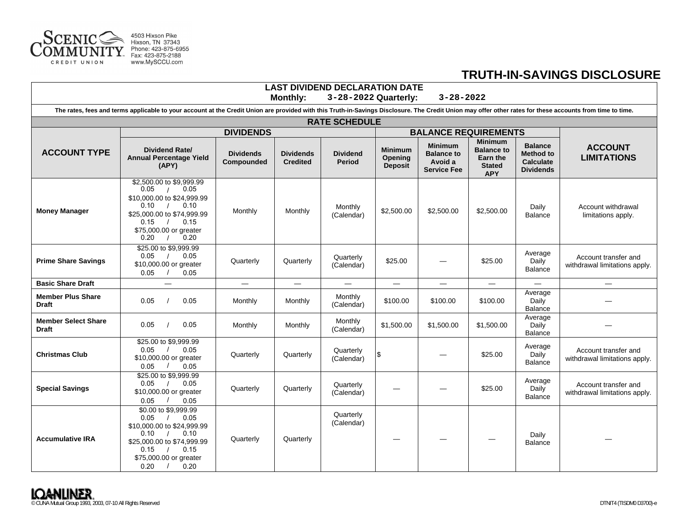

 $\Gamma$ 

## **TRUTH-IN-SAVINGS DISCLOSURE**

| LASI DIVIDEND DECLARATION DATE<br>$3 - 28 - 2022$<br><b>Monthly:</b><br>3-28-2022 Quarterly:                                                                                                              |                                                                                                                                                                                                            |                                |                                     |                                  |                                             |                                                                      |                                                                                |                                                                            |                                                       |  |
|-----------------------------------------------------------------------------------------------------------------------------------------------------------------------------------------------------------|------------------------------------------------------------------------------------------------------------------------------------------------------------------------------------------------------------|--------------------------------|-------------------------------------|----------------------------------|---------------------------------------------|----------------------------------------------------------------------|--------------------------------------------------------------------------------|----------------------------------------------------------------------------|-------------------------------------------------------|--|
| The rates, fees and terms applicable to your account at the Credit Union are provided with this Truth-in-Savings Disclosure. The Credit Union may offer other rates for these accounts from time to time. |                                                                                                                                                                                                            |                                |                                     |                                  |                                             |                                                                      |                                                                                |                                                                            |                                                       |  |
| <b>RATE SCHEDULE</b>                                                                                                                                                                                      |                                                                                                                                                                                                            |                                |                                     |                                  |                                             |                                                                      |                                                                                |                                                                            |                                                       |  |
|                                                                                                                                                                                                           | <b>DIVIDENDS</b>                                                                                                                                                                                           |                                |                                     |                                  |                                             | <b>BALANCE REQUIREMENTS</b>                                          |                                                                                |                                                                            |                                                       |  |
| <b>ACCOUNT TYPE</b>                                                                                                                                                                                       | Dividend Rate/<br><b>Annual Percentage Yield</b><br>(APY)                                                                                                                                                  | <b>Dividends</b><br>Compounded | <b>Dividends</b><br><b>Credited</b> | <b>Dividend</b><br><b>Period</b> | <b>Minimum</b><br>Opening<br><b>Deposit</b> | <b>Minimum</b><br><b>Balance to</b><br>Avoid a<br><b>Service Fee</b> | <b>Minimum</b><br><b>Balance to</b><br>Earn the<br><b>Stated</b><br><b>APY</b> | <b>Balance</b><br><b>Method to</b><br><b>Calculate</b><br><b>Dividends</b> | <b>ACCOUNT</b><br><b>LIMITATIONS</b>                  |  |
| <b>Money Manager</b>                                                                                                                                                                                      | \$2,500,00 to \$9,999.99<br>0.05<br>0.05<br>$\sqrt{ }$<br>\$10,000.00 to \$24,999.99<br>0.10<br>0.10<br>$\sqrt{ }$<br>\$25,000.00 to \$74,999.99<br>0.15<br>0.15<br>\$75,000.00 or greater<br>0.20<br>0.20 | Monthly                        | Monthly                             | Monthly<br>(Calendar)            | \$2,500.00                                  | \$2,500.00                                                           | \$2,500.00                                                                     | Daily<br><b>Balance</b>                                                    | Account withdrawal<br>limitations apply.              |  |
| <b>Prime Share Savings</b>                                                                                                                                                                                | \$25.00 to \$9,999.99<br>0.05<br>0.05<br>$\frac{1}{2}$<br>\$10,000.00 or greater<br>0.05<br>0.05                                                                                                           | Quarterly                      | Quarterly                           | Quarterly<br>(Calendar)          | \$25.00                                     |                                                                      | \$25.00                                                                        | Average<br>Daily<br><b>Balance</b>                                         | Account transfer and<br>withdrawal limitations apply. |  |
| <b>Basic Share Draft</b>                                                                                                                                                                                  | $\overline{\phantom{0}}$                                                                                                                                                                                   | $\overline{\phantom{0}}$       | $\overline{\phantom{0}}$            | $-$                              | $\equiv$                                    | $\overline{\phantom{0}}$                                             | $\qquad \qquad -$                                                              | $\overline{\phantom{0}}$                                                   | $\overline{\phantom{0}}$                              |  |
| <b>Member Plus Share</b><br><b>Draft</b>                                                                                                                                                                  | 0.05<br>0.05                                                                                                                                                                                               | Monthly                        | Monthly                             | Monthly<br>(Calendar)            | \$100.00                                    | \$100.00                                                             | \$100.00                                                                       | Average<br>Daily<br><b>Balance</b>                                         |                                                       |  |
| <b>Member Select Share</b><br><b>Draft</b>                                                                                                                                                                | 0.05<br>0.05                                                                                                                                                                                               | Monthly                        | Monthly                             | Monthly<br>(Calendar)            | \$1,500.00                                  | \$1,500.00                                                           | \$1,500.00                                                                     | Average<br>Daily<br>Balance                                                |                                                       |  |
| <b>Christmas Club</b>                                                                                                                                                                                     | \$25.00 to \$9,999.99<br>0.05<br>0.05<br>\$10,000.00 or greater<br>0.05<br>0.05                                                                                                                            | Quarterly                      | Quarterly                           | Quarterly<br>(Calendar)          | \$                                          |                                                                      | \$25.00                                                                        | Average<br>Daily<br><b>Balance</b>                                         | Account transfer and<br>withdrawal limitations apply. |  |
| <b>Special Savings</b>                                                                                                                                                                                    | \$25.00 to \$9,999.99<br>0.05<br>0.05<br>\$10,000.00 or greater<br>0.05<br>0.05                                                                                                                            | Quarterly                      | Quarterly                           | Quarterly<br>(Calendar)          |                                             |                                                                      | \$25.00                                                                        | Average<br>Daily<br><b>Balance</b>                                         | Account transfer and<br>withdrawal limitations apply. |  |
| <b>Accumulative IRA</b>                                                                                                                                                                                   | \$0.00 to \$9,999.99<br>0.05<br>0.05<br>\$10,000.00 to \$24,999.99<br>0.10<br>0.10<br>\$25,000.00 to \$74,999.99<br>0.15<br>0.15<br>\$75,000.00 or greater<br>0.20<br>0.20                                 | Quarterly                      | Quarterly                           | Quarterly<br>(Calendar)          |                                             |                                                                      |                                                                                | Daily<br><b>Balance</b>                                                    |                                                       |  |

**LAST DIVIDEND DECLARATION DATE**